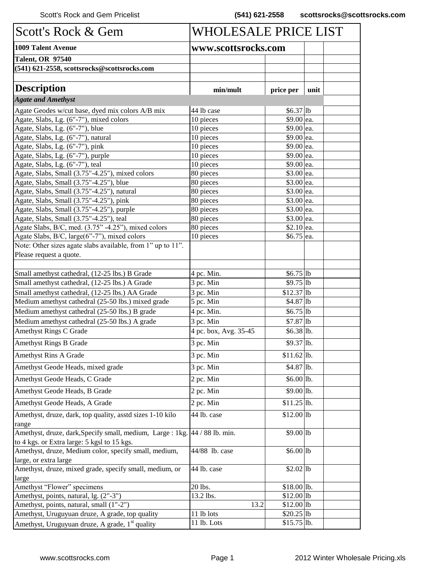| Scott's Rock & Gem                                                          | WHOLESALE PRICE LIST  |              |      |  |
|-----------------------------------------------------------------------------|-----------------------|--------------|------|--|
| <b>1009 Talent Avenue</b>                                                   | www.scottsrocks.com   |              |      |  |
| <b>Talent, OR 97540</b>                                                     |                       |              |      |  |
| (541) 621-2558, scottsrocks@scottsrocks.com                                 |                       |              |      |  |
|                                                                             |                       |              |      |  |
| <b>Description</b>                                                          | min/mult              | price per    | unit |  |
| <b>Agate and Amethyst</b>                                                   |                       |              |      |  |
| Agate Geodes w/cut base, dyed mix colors A/B mix                            | 44 lb case            | $$6.37$ lb   |      |  |
| Agate, Slabs, Lg. (6"-7"), mixed colors                                     | 10 pieces             | \$9.00 ea.   |      |  |
| Agate, Slabs, Lg. (6"-7"), blue                                             | 10 pieces             | \$9.00 ea.   |      |  |
| Agate, Slabs, Lg. (6"-7"), natural                                          | 10 pieces             | \$9.00 ea.   |      |  |
| Agate, Slabs, Lg. (6"-7"), pink                                             | 10 pieces             | \$9.00 ea.   |      |  |
| Agate, Slabs, Lg. (6"-7"), purple                                           | 10 pieces             | \$9.00 ea.   |      |  |
| Agate, Slabs, Lg. (6"-7"), teal                                             | 10 pieces             | \$9.00 ea.   |      |  |
| Agate, Slabs, Small (3.75"-4.25"), mixed colors                             | 80 pieces             | \$3.00 ea.   |      |  |
| Agate, Slabs, Small (3.75"-4.25"), blue                                     | 80 pieces             | \$3.00 ea.   |      |  |
| Agate, Slabs, Small (3.75"-4.25"), natural                                  | 80 pieces             | \$3.00 ea.   |      |  |
| Agate, Slabs, Small (3.75"-4.25"), pink                                     | 80 pieces             | \$3.00 ea.   |      |  |
| Agate, Slabs, Small (3.75"-4.25"), purple                                   | 80 pieces             | \$3.00 ea.   |      |  |
| Agate, Slabs, Small (3.75"-4.25"), teal                                     | 80 pieces             | \$3.00 ea.   |      |  |
| Agate Slabs, B/C, med. (3.75"-4.25"), mixed colors                          | 80 pieces             | $$2.10$ ea.  |      |  |
| Agate Slabs, B/C, large(6"-7"), mixed colors                                | 10 pieces             | \$6.75 ea.   |      |  |
| Note: Other sizes agate slabs available, from 1" up to 11".                 |                       |              |      |  |
| Please request a quote.                                                     |                       |              |      |  |
|                                                                             |                       |              |      |  |
| Small amethyst cathedral, (12-25 lbs.) B Grade                              | 4 pc. Min.            | $$6.75$  lb  |      |  |
| Small amethyst cathedral, (12-25 lbs.) A Grade                              | 3 pc. Min             | $$9.75$  lb  |      |  |
| Small amethyst cathedral, (12-25 lbs.) AA Grade                             | 3 pc. Min             | $$12.37$ lb  |      |  |
| Medium amethyst cathedral (25-50 lbs.) mixed grade                          | 5 pc. Min             | $$4.87$ lb   |      |  |
| Medium amethyst cathedral (25-50 lbs.) B grade                              | 4 pc. Min.            | $$6.75$  lb  |      |  |
| Medium amethyst cathedral (25-50 lbs.) A grade                              | 3 pc. Min             | $$7.87$ lb   |      |  |
| Amethyst Rings C Grade                                                      | 4 pc. box, Avg. 35-45 | $$6.38$ lb.  |      |  |
| <b>Amethyst Rings B Grade</b>                                               | 3 pc. Min             | $$9.37$ lb.  |      |  |
| <b>Amethyst Rins A Grade</b>                                                | 3 pc. Min             | $$11.62$ lb. |      |  |
| Amethyst Geode Heads, mixed grade                                           | 3 pc. Min             | \$4.87 lb.   |      |  |
| Amethyst Geode Heads, C Grade                                               | 2 pc. Min             | \$6.00 lb.   |      |  |
|                                                                             |                       |              |      |  |
| Amethyst Geode Heads, B Grade                                               | 2 pc. Min             | $$9.00$ lb.  |      |  |
| Amethyst Geode Heads, A Grade                                               | 2 pc. Min             | $$11.25$ lb. |      |  |
| Amethyst, druze, dark, top quality, asstd sizes 1-10 kilo<br>range          | 44 lb. case           | $$12.00$ lb  |      |  |
| Amethyst, druze, dark, Specify small, medium, Large : 1kg. 44 / 88 lb. min. |                       | $$9.00$ lb   |      |  |
| to 4 kgs. or Extra large: 5 kgsl to 15 kgs.                                 |                       |              |      |  |
| Amethyst, druze, Medium color, specify small, medium,                       | 44/88 lb. case        | $$6.00$ lb   |      |  |
| large, or extra large                                                       |                       |              |      |  |
| Amethyst, druze, mixed grade, specify small, medium, or                     | 44 lb. case           | $$2.02$ lb   |      |  |
| large                                                                       |                       |              |      |  |
| Amethyst "Flower" specimens                                                 | 20 lbs.               | \$18.00 lb.  |      |  |
| Amethyst, points, natural, lg. (2"-3")                                      | 13.2 lbs.             | $$12.00$ lb  |      |  |
| Amethyst, points, natural, small (1"-2")                                    | 13.2                  | $$12.00$ lb  |      |  |
| Amethyst, Uruguyuan druze, A grade, top quality                             | 11 lb lots            | $$20.25$  lb |      |  |
| Amethyst, Uruguyuan druze, A grade, 1 <sup>st</sup> quality                 | 11 lb. Lots           | $$15.75$ lb. |      |  |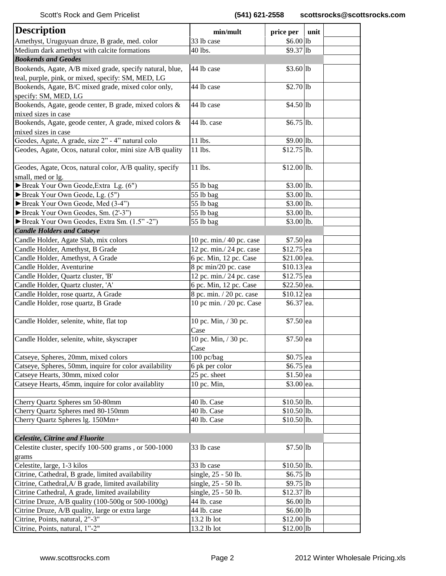| <b>Description</b>                                                                          | min/mult                       | price per                 | unit |
|---------------------------------------------------------------------------------------------|--------------------------------|---------------------------|------|
| Amethyst, Uruguyuan druze, B grade, med. color                                              | 33 lb case                     | $$6.00$ lb                |      |
| Medium dark amethyst with calcite formations                                                | 40 lbs.                        | $$9.37$ lb                |      |
| <b>Bookends and Geodes</b>                                                                  |                                |                           |      |
| Bookends, Agate, A/B mixed grade, specify natural, blue,                                    | 44 lb case                     | $$3.60$ lb                |      |
| teal, purple, pink, or mixed, specify: SM, MED, LG                                          |                                |                           |      |
| Bookends, Agate, B/C mixed grade, mixed color only,                                         | 44 lb case                     | $$2.70$ lb                |      |
| specify: SM, MED, LG                                                                        |                                |                           |      |
| Bookends, Agate, geode center, B grade, mixed colors &                                      | 44 lb case                     | $$4.50$ lb                |      |
| mixed sizes in case                                                                         |                                |                           |      |
| Bookends, Agate, geode center, A grade, mixed colors &                                      | 44 lb. case                    | $$6.75$ lb.               |      |
| mixed sizes in case                                                                         |                                |                           |      |
| Geodes, Agate, A grade, size 2" - 4" natural colo                                           | 11 lbs.                        | \$9.00 lb.                |      |
| Geodes, Agate, Ocos, natural color, mini size A/B quality                                   | 11 lbs.                        | $$12.75$ lb.              |      |
|                                                                                             |                                |                           |      |
| Geodes, Agate, Ocos, natural color, A/B quality, specify                                    | 11 lbs.                        | $$12.00$ lb.              |      |
| small, med or lg.                                                                           |                                |                           |      |
| Break Your Own Geode, Extra Lg. (6")                                                        | 55 lb bag                      | $$3.00$ lb.               |      |
| Break Your Own Geode, Lg. (5")                                                              | 55 lb bag                      | \$3.00 lb.                |      |
| Break Your Own Geode, Med (3-4")                                                            | 55 lb bag                      | \$3.00 1b.                |      |
| Break Your Own Geodes, Sm. (2'-3")                                                          | 55 lb bag                      | $$3.00$ lb.               |      |
| Break Your Own Geodes, Extra Sm. (1.5" -2")                                                 | 55 lb bag                      | $$3.00$ lb.               |      |
| <b>Candle Holders and Catseye</b>                                                           |                                |                           |      |
| Candle Holder, Agate Slab, mix colors                                                       | 10 pc. min./ 40 pc. case       | $$7.50$ ea                |      |
| Candle Holder, Amethyst, B Grade                                                            | 12 pc. min./ 24 pc. case       | $$12.75$ ea               |      |
| Candle Holder, Amethyst, A Grade                                                            | 6 pc. Min, 12 pc. Case         | \$21.00 ea.               |      |
| Candle Holder, Aventurine                                                                   | 8 pc min/20 pc. case           | $$10.13$ ea               |      |
| Candle Holder, Quartz cluster, 'B'                                                          | 12 pc. min./ 24 pc. case       | $$12.75$  ea              |      |
| Candle Holder, Quartz cluster, 'A'                                                          | 6 pc. Min, 12 pc. Case         | \$22.50 ea.               |      |
| Candle Holder, rose quartz, A Grade                                                         | 8 pc. min. / 20 pc. case       | $$10.12$  ea              |      |
| Candle Holder, rose quartz, B Grade                                                         | 10 pc min. / 20 pc. Case       | $$6.37$ ea.               |      |
|                                                                                             |                                |                           |      |
| Candle Holder, selenite, white, flat top                                                    | 10 pc. Min, / 30 pc.           | $$7.50$ ea                |      |
|                                                                                             | Case                           |                           |      |
| Candle Holder, selenite, white, skyscraper                                                  | 10 pc. Min, / 30 pc.           | $$7.50$ ea                |      |
|                                                                                             | Case<br>100 pc/bag             |                           |      |
| Catseye, Spheres, 20mm, mixed colors                                                        |                                | $$0.75$ ea                |      |
| Catseye, Spheres, 50mm, inquire for color availability<br>Catseye Hearts, 30mm, mixed color | 6 pk per color<br>25 pc. sheet | \$6.75 ea                 |      |
| Catseye Hearts, 45mm, inquire for color availablity                                         | 10 pc. Min,                    | $$1.50$ ea<br>$$3.00$ ea. |      |
|                                                                                             |                                |                           |      |
| Cherry Quartz Spheres sm 50-80mm                                                            | 40 lb. Case                    | $$10.50$ lb.              |      |
| Cherry Quartz Spheres med 80-150mm                                                          | 40 lb. Case                    | $$10.50$ lb.              |      |
| Cherry Quartz Spheres 1g. 150Mm+                                                            | 40 lb. Case                    | $$10.50$ lb.              |      |
|                                                                                             |                                |                           |      |
| <b>Celestite, Citrine and Fluorite</b>                                                      |                                |                           |      |
| Celestite cluster, specify 100-500 grams, or 500-1000                                       | 33 lb case                     | $$7.50$ lb                |      |
| grams                                                                                       |                                |                           |      |
| Celestite, large, 1-3 kilos                                                                 | 33 lb case                     | $$10.50$ lb.              |      |
| Citrine, Cathedral, B grade, limited availability                                           | single, 25 - 50 lb.            | $$6.75$ lb                |      |
| Citrine, Cathedral, A/ B grade, limited availability                                        | single, 25 - 50 lb.            | $$9.75$  lb               |      |
| Citrine Cathedral, A grade, limited availability                                            | single, 25 - 50 lb.            | $$12.37$ lb               |      |
| Citrine Druze, A/B quality (100-500g or 500-1000g)                                          | 44 lb. case                    | $$6.00 $ lb               |      |
| Citrine Druze, A/B quality, large or extra large                                            | 44 lb. case                    | $$6.00 $ lb               |      |
| Citrine, Points, natural, 2"-3"                                                             | 13.2 lb lot                    | \$12.00 1b                |      |
| Citrine, Points, natural, 1"-2"                                                             | 13.2 lb lot                    | \$12.00 1b                |      |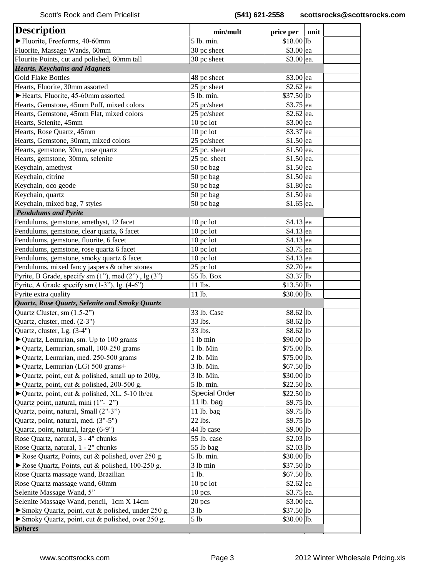| <b>Description</b>                                                     | min/mult             | price per     | unit |
|------------------------------------------------------------------------|----------------------|---------------|------|
| Fluorite, Freeforms, 40-60mm                                           | 5 lb. min.           | \$18.00 1b    |      |
| Fluorite, Massage Wands, 60mm                                          | 30 pc sheet          | $$3.00$ ea    |      |
| Flourite Points, cut and polished, 60mm tall                           | 30 pc sheet          | \$3.00 ea.    |      |
| <b>Hearts, Keychains and Magnets</b>                                   |                      |               |      |
| <b>Gold Flake Bottles</b>                                              | 48 pc sheet          | $$3.00$ ea    |      |
| Hearts, Fluorite, 30mm assorted                                        | 25 pc sheet          | $$2.62$ ea    |      |
| Hearts, Fluorite, 45-60mm assorted                                     | 5 lb. min.           | $$37.50$  lb  |      |
| Hearts, Gemstone, 45mm Puff, mixed colors                              | 25 pc/sheet          | \$3.75 ea     |      |
| Hearts, Gemstone, 45mm Flat, mixed colors                              | 25 pc/sheet          | $$2.62$ ea.   |      |
| Hearts, Selenite, 45mm                                                 | $10$ pc lot          | $$3.00$ ea    |      |
| Hearts, Rose Quartz, 45mm                                              | 10 pc lot            | $$3.37$ ea    |      |
| Hearts, Gemstone, 30mm, mixed colors                                   | 25 pc/sheet          | \$1.50 ea     |      |
| Hearts, gemstone, 30m, rose quartz                                     | 25 pc. sheet         | $$1.50$  ea.  |      |
| Hearts, gemstone, 30mm, selenite                                       | 25 pc. sheet         | $$1.50$  ea.  |      |
| Keychain, amethyst                                                     | 50 pc bag            | $$1.50$ ea    |      |
| Keychain, citrine                                                      | 50 pc bag            | $$1.50$ ea    |      |
| Keychain, oco geode                                                    | 50 pc bag            | $$1.80$ ea    |      |
| Keychain, quartz                                                       | 50 pc bag            | \$1.50 ea     |      |
| Keychain, mixed bag, 7 styles                                          | 50 pc bag            | $$1.65$ ea.   |      |
| <b>Pendulums and Pyrite</b>                                            |                      |               |      |
| Pendulums, gemstone, amethyst, 12 facet                                | 10 pc lot            | $$4.13$ ea    |      |
| Pendulums, gemstone, clear quartz, 6 facet                             | 10 pc lot            | $$4.13$ ea    |      |
| Pendulums, gemstone, fluorite, 6 facet                                 | 10 pc lot            | \$4.13 ea     |      |
| Pendulums, gemstone, rose quartz 6 facet                               | $10$ pc lot          | $$3.75$  ea   |      |
| Pendulums, gemstone, smoky quartz 6 facet                              | $10$ pc lot          | $$4.13$ ea    |      |
| Pendulums, mixed fancy jaspers & other stones                          | 25 pc lot            | \$2.70 ea     |      |
| Pyrite, B Grade, specify sm (1"), med (2"), lg.(3")                    | 55 lb. Box           | $$3.37$ lb    |      |
| Pyrite, A Grade specify sm (1-3"), lg. (4-6")                          | 11 lbs.              | $$13.50$ lb   |      |
| Pyrite extra quality                                                   | 11 lb.               | $$30.00$ lb.  |      |
| Quartz, Rose Quartz, Selenite and Smoky Quartz                         |                      |               |      |
| Quartz Cluster, sm (1.5-2")                                            | 33 lb. Case          | \$8.62 lb.    |      |
| Quartz, cluster, med. (2-3")                                           | 33 lbs.              | $$8.62$  lb   |      |
| Quartz, cluster, Lg. (3-4")                                            | 33 lbs.              | $$8.62$ lb    |      |
| ▶ Quartz, Lemurian, sm. Up to 100 grams                                | 1 lb min             | $$90.00 $ lb  |      |
| ▶ Quartz, Lemurian, small, 100-250 grams                               | 1 lb. Min            | \$75.00 lb.   |      |
| ▶ Quartz, Lemurian, med. 250-500 grams                                 | $2$ lb. Min          | $$75.00$ lb.  |      |
| $\blacktriangleright$ Quartz, Lemurian (LG) 500 grams+                 | 3 lb. Min.           | $$67.50$ lb   |      |
| $\blacktriangleright$ Quartz, point, cut & polished, small up to 200g. | 3 lb. Min.           | \$30.00 1b    |      |
| $\blacktriangleright$ Quartz, point, cut & polished, 200-500 g.        | 5 lb. min.           | $$22.50$ lb.  |      |
| ▶ Quartz, point, cut & polished, XL, 5-10 lb/ea                        | <b>Special Order</b> | $$22.50$ lb   |      |
| Quartz point, natural, mini (1"-2")                                    | 11 lb. bag           | \$9.75 lb.    |      |
| Quartz, point, natural, Small (2"-3")                                  | 11 lb. bag           | $$9.75$  lb   |      |
| Quartz, point, natural, med. (3"-5")                                   | 22 lbs.              | $$9.75$  lb   |      |
| Quartz, point, natural, large (6-9")                                   | 44 lb case           | $$9.00 $ lb   |      |
| Rose Quartz, natural, 3 - 4" chunks                                    | 55 lb. case          | $$2.03$ lb    |      |
| Rose Quartz, natural, 1 - 2" chunks                                    | 55 lb bag            | $$2.03$ lb    |      |
| Rose Quartz, Points, cut & polished, over 250 g.                       | 5 lb. min.           | \$30.00 1b    |      |
| Rose Quartz, Points, cut & polished, $100-250$ g.                      | 3 lb min             | \$37.50 1b    |      |
| Rose Quartz massage wand, Brazilian                                    | 1 lb.                | $$67.50$  lb. |      |
| Rose Quartz massage wand, 60mm                                         | $10$ pc lot          | $$2.62$ ea    |      |
| Selenite Massage Wand, 5"                                              | 10 pcs.              | $$3.75$ ea.   |      |
| Selenite Massage Wand, pencil, 1cm X 14cm                              | 20 pcs               | \$3.00 ea.    |      |
| Smoky Quartz, point, cut & polished, under 250 g.                      | 3 lb                 | $$37.50$ lb   |      |
| Smoky Quartz, point, cut & polished, over 250 g.                       | 5 <sub>1b</sub>      | $$30.00 $ lb. |      |
| <b>Spheres</b>                                                         |                      |               |      |